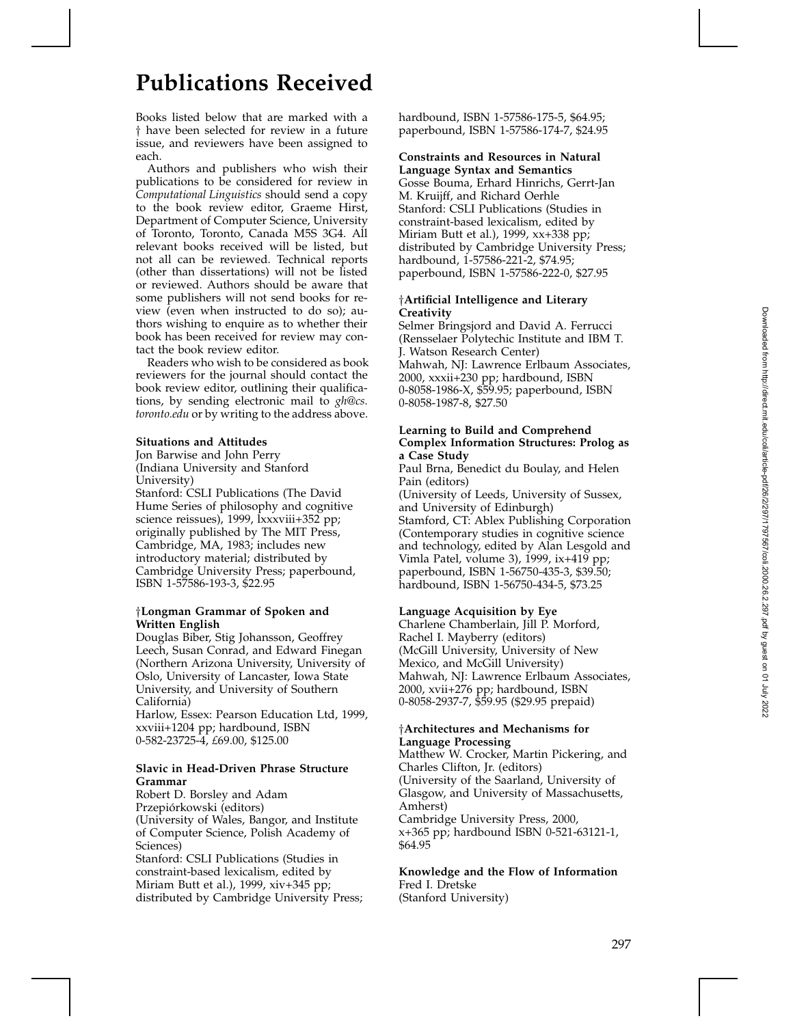# **Publications Received**

Books listed below that are marked with a <sup>†</sup> have been selected for review in a future issue, and reviewers have been assigned to each.

Authors and publishers who wish their publications to be considered for review in *Computational Linguistics* should send a copy to the book review editor, Graeme Hirst, Department of Computer Science, University of Toronto, Toronto, Canada M5S 3G4. All relevant books received will be listed, but not all can be reviewed. Technical reports (other than dissertations) will not be listed or reviewed. Authors should be aware that some publishers will not send books for review (even when instructed to do so); authors wishing to enquire as to whether their book has been received for review may contact the book review editor.

Readers who wish to be considered as book reviewers for the journal should contact the book review editor, outlining their qualifications, by sending electronic mail to *gh@cs. toronto.edu* or by writing to the address above.

#### **Situations and Attitudes**

Jon Barwise and John Perry (Indiana University and Stanford University) Stanford: CSLI Publications (The David

Hume Series of philosophy and cognitive science reissues), 1999, lxxxviii+352 pp; originally published by The MIT Press, Cambridge, MA, 1983; includes new introductory material; distributed by Cambridge University Press; paperbound, ISBN 1-57586-193-3, \$22.95

# <sup>y</sup>**Longman Grammar of Spoken and Written English**

Douglas Biber, Stig Johansson, Geoffrey Leech, Susan Conrad, and Edward Finegan (Northern Arizona University, University of Oslo, University of Lancaster, Iowa State University, and University of Southern California)

Harlow, Essex: Pearson Education Ltd, 1999, xxviii+1204 pp; hardbound, ISBN 0-582-23725-4, *£*69.00, \$125.00

# **Slavic in Head-Driven Phrase Structure Grammar**

Robert D. Borsley and Adam Przepiórkowski (editors) (University of Wales, Bangor, and Institute of Computer Science, Polish Academy of Sciences) Stanford: CSLI Publications (Studies in constraint-based lexicalism, edited by Miriam Butt et al.), 1999, xiv+345 pp; distributed by Cambridge University Press; hardbound, ISBN 1-57586-175-5, \$64.95; paperbound, ISBN 1-57586-174-7, \$24.95

# **Constraints and Resources in Natural**

**Language Syntax and Semantics** Gosse Bouma, Erhard Hinrichs, Gerrt-Jan M. Kruijff, and Richard Oerhle Stanford: CSLI Publications (Studies in constraint-based lexicalism, edited by Miriam Butt et al.), 1999, xx+338 pp; distributed by Cambridge University Press; hardbound, 1-57586-221-2, \$74.95; paperbound, ISBN 1-57586-222-0, \$27.95

#### <sup>y</sup>**Artificial Intelligence and Literary Creativity**

Selmer Bringsjord and David A. Ferrucci (Rensselaer Polytechic Institute and IBM T. J. Watson Research Center) Mahwah, NJ: Lawrence Erlbaum Associates, 2000, xxxii+230 pp; hardbound, ISBN 0-8058-1986-X, \$59.95; paperbound, ISBN 0-8058-1987-8, \$27.50

# **Learning to Build and Comprehend Complex Information Structures: Prolog as a Case Study**

Paul Brna, Benedict du Boulay, and Helen Pain (editors)

(University of Leeds, University of Sussex, and University of Edinburgh) Stamford, CT: Ablex Publishing Corporation (Contemporary studies in cognitive science and technology, edited by Alan Lesgold and Vimla Patel, volume 3), 1999, ix+419 pp; paperbound, ISBN 1-56750-435-3, \$39.50; hardbound, ISBN 1-56750-434-5, \$73.25

# **Language Acquisition by Eye**

Charlene Chamberlain, Jill P. Morford, Rachel I. Mayberry (editors) (McGill University, University of New Mexico, and McGill University) Mahwah, NJ: Lawrence Erlbaum Associates, 2000, xvii+276 pp; hardbound, ISBN 0-8058-2937-7, \$59.95 (\$29.95 prepaid)

#### <sup>y</sup>**Architectures and Mechanisms for Language Processing**

Matthew W. Crocker, Martin Pickering, and Charles Clifton, Jr. (editors) (University of the Saarland, University of Glasgow, and University of Massachusetts, Amherst) Cambridge University Press, 2000, x+365 pp; hardbound ISBN 0-521-63121-1, \$64.95

**Knowledge and the Flow of Information** Fred I. Dretske (Stanford University)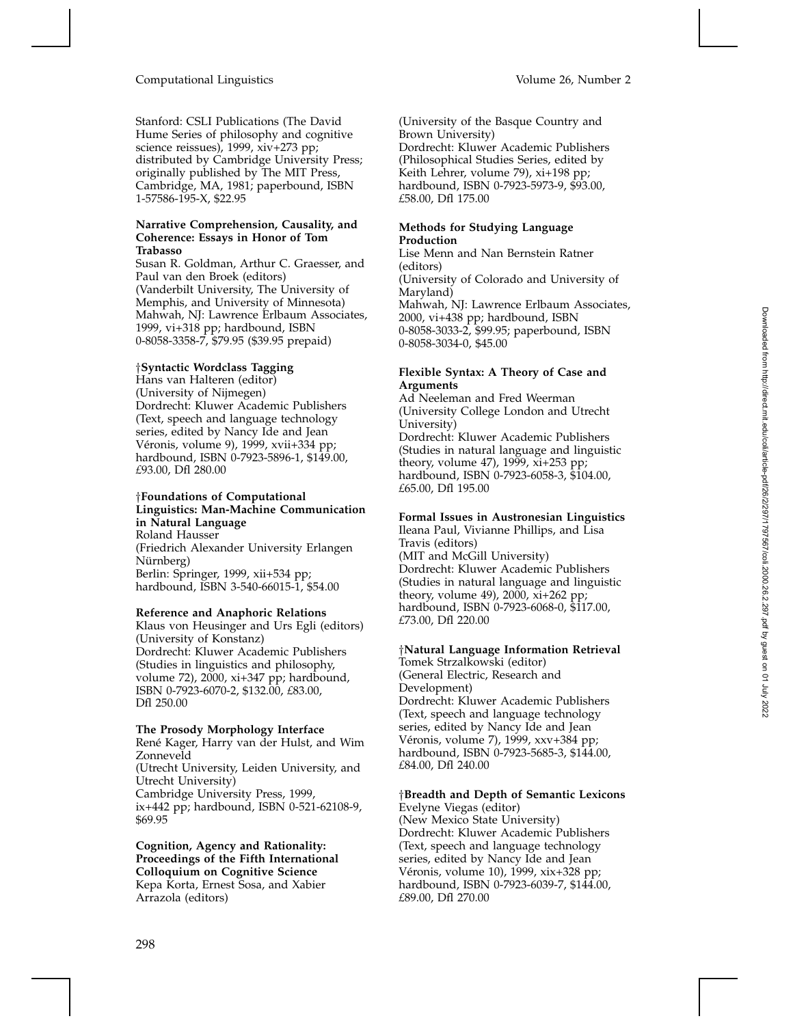# Computational Linguistics Volume 26, Number 2

Stanford: CSLI Publications (The David Hume Series of philosophy and cognitive science reissues), 1999, xiv+273 pp; distributed by Cambridge University Press; originally published by The MIT Press, Cambridge, MA, 1981; paperbound, ISBN 1-57586-195-X, \$22.95

# **Narrative Comprehension, Causality, and Coherence: Essays in Honor of Tom Trabasso**

Susan R. Goldman, Arthur C. Graesser, and Paul van den Broek (editors) (Vanderbilt University, The University of Memphis, and University of Minnesota) Mahwah, NJ: Lawrence Erlbaum Associates, 1999, vi+318 pp; hardbound, ISBN 0-8058-3358-7, \$79.95 (\$39.95 prepaid)

# <sup>y</sup>**Syntactic Wordclass Tagging**

Hans van Halteren (editor) (University of Nijmegen) Dordrecht: Kluwer Academic Publishers (Text, speech and language technology series, edited by Nancy Ide and Jean Véronis, volume 9), 1999, xvii+334 pp; hardbound, ISBN 0-7923-5896-1, \$149.00, *£*93.00, Dfl 280.00

#### <sup>y</sup>**Foundations of Computational Linguistics: Man-Machine Communication in Natural Language** Roland Hausser

(Friedrich Alexander University Erlangen Nürnberg) Berlin: Springer, 1999, xii+534 pp; hardbound, ISBN 3-540-66015-1, \$54.00

#### **Reference and Anaphoric Relations**

Klaus von Heusinger and Urs Egli (editors) (University of Konstanz) Dordrecht: Kluwer Academic Publishers (Studies in linguistics and philosophy, volume 72), 2000, xi+347 pp; hardbound, ISBN 0-7923-6070-2, \$132.00, *£*83.00, Dfl 250.00

#### **The Prosody Morphology Interface**

René Kager, Harry van der Hulst, and Wim Zonneveld

(Utrecht University, Leiden University, and Utrecht University) Cambridge University Press, 1999, ix+442 pp; hardbound, ISBN 0-521-62108-9,

\$69.95

**Cognition, Agency and Rationality: Proceedings of the Fifth International Colloquium on Cognitive Science** Kepa Korta, Ernest Sosa, and Xabier Arrazola (editors)

(University of the Basque Country and Brown University) Dordrecht: Kluwer Academic Publishers (Philosophical Studies Series, edited by Keith Lehrer, volume 79), xi+198 pp; hardbound, ISBN 0-7923-5973-9, \$93.00, *£*58.00, Dfl 175.00

# **Methods for Studying Language Production**

Lise Menn and Nan Bernstein Ratner (editors) (University of Colorado and University of Maryland) Mahwah, NJ: Lawrence Erlbaum Associates, 2000, vi+438 pp; hardbound, ISBN 0-8058-3033-2, \$99.95; paperbound, ISBN 0-8058-3034-0, \$45.00

### **Flexible Syntax: A Theory of Case and Arguments**

Ad Neeleman and Fred Weerman (University College London and Utrecht University) Dordrecht: Kluwer Academic Publishers (Studies in natural language and linguistic theory, volume 47), 1999, xi+253 pp; hardbound, ISBN 0-7923-6058-3, \$104.00, *£*65.00, Dfl 195.00

# **Formal Issues in Austronesian Linguistics**

Ileana Paul, Vivianne Phillips, and Lisa Travis (editors) (MIT and McGill University) Dordrecht: Kluwer Academic Publishers (Studies in natural language and linguistic theory, volume 49), 2000, xi+262 pp; hardbound, ISBN 0-7923-6068-0, \$117.00, *£*73.00, Dfl 220.00

# <sup>y</sup>**Natural Language Information Retrieval**

Tomek Strzalkowski (editor) (General Electric, Research and Development) Dordrecht: Kluwer Academic Publishers (Text, speech and language technology series, edited by Nancy Ide and Jean Véronis, volume 7), 1999, xxv+384 pp; hardbound, ISBN 0-7923-5685-3, \$144.00, *£*84.00, Dfl 240.00

#### <sup>y</sup>**Breadth and Depth of Semantic Lexicons**

Evelyne Viegas (editor) (New Mexico State University) Dordrecht: Kluwer Academic Publishers (Text, speech and language technology series, edited by Nancy Ide and Jean Véronis, volume 10), 1999, xix+328 pp; hardbound, ISBN 0-7923-6039-7, \$144.00, *£*89.00, Dfl 270.00